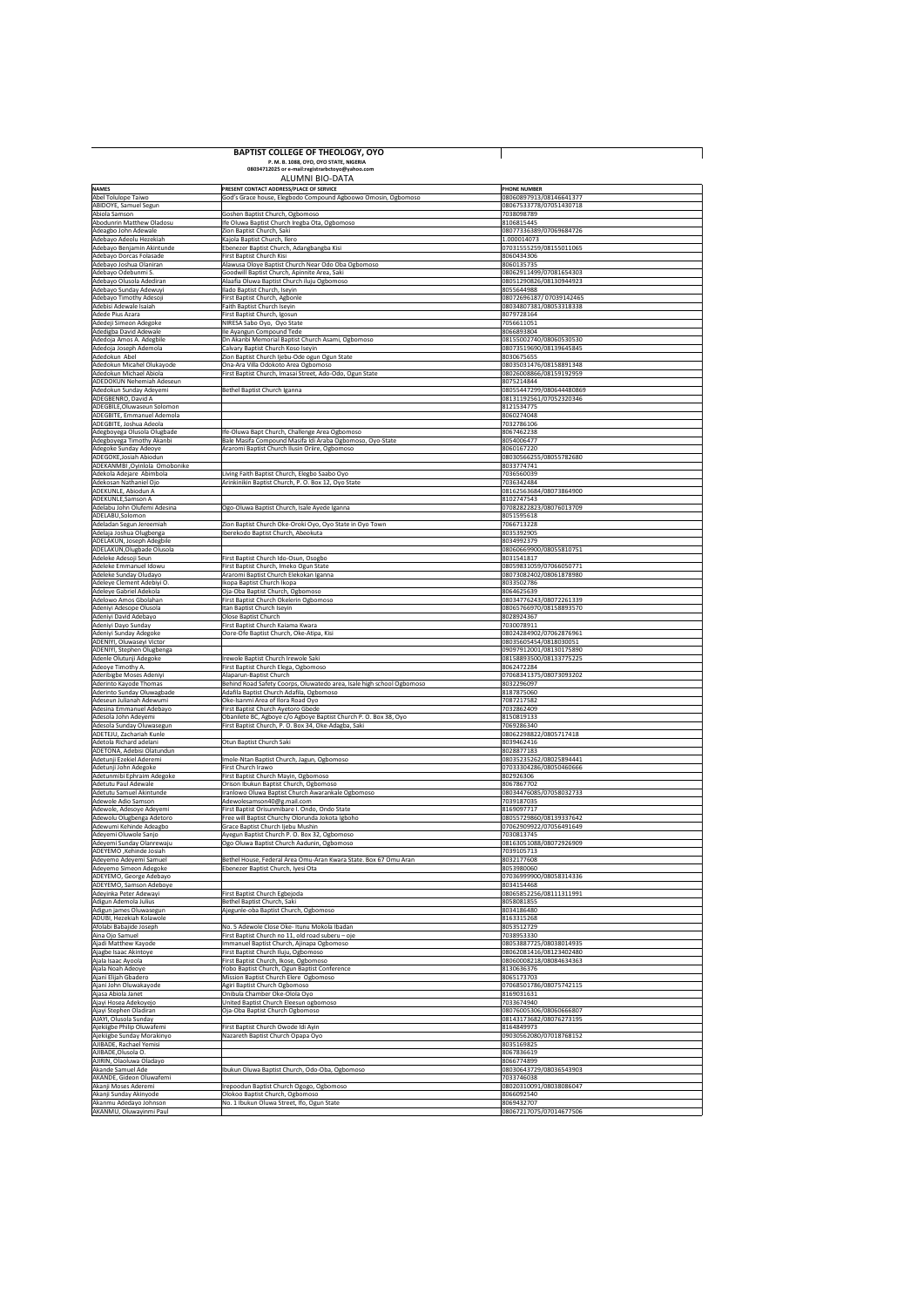## **BAPTIST COLLEGE OF THEOLOGY, OYO P. M. B. 1088, OYO, OYO STATE, NIGERIA 08034712025 or e-mail:registrarbctoyo@yahoo.com**

## ALUMNI BIO-DATA

| <b>NAMES</b>                                          | <b>PRESENT CONTACT ADDRESS/PLACE OF SERVICE</b>                                                                   | <b>PHONE NUMBER</b>                                 |
|-------------------------------------------------------|-------------------------------------------------------------------------------------------------------------------|-----------------------------------------------------|
| Abel Tolulope Taiwo                                   | God's Grace house, Elegbodo Compound Agboowo Omosin, Ogbomoso                                                     | 08060897913/08146641377                             |
| <b>ABIDOYE, Samuel Segun</b><br>Abiola Samson         | Goshen Baptist Church, Ogbomoso                                                                                   | 08067533778/07051430718<br>7038098789               |
| Abodunrin Matthew Oladosu                             | Ife Oluwa Baptist Church Iregba Ota, Ogbomoso                                                                     | 8106815445                                          |
| Adeagbo John Adewale                                  | Zion Baptist Church, Saki                                                                                         | 08077336389/07069684726                             |
| Adebayo Adeolu Hezekiah                               | Kajola Baptist Church, Ilero                                                                                      | 1.000014073                                         |
| Adebayo Benjamin Akintunde<br>Adebayo Dorcas Folasade | Ebenezer Baptist Church, Adangbangba Kisi<br><b>First Baptist Church Kisi</b>                                     | 07031555259/08155011065<br>8060434306               |
| Adebayo Joshua Olaniran                               | Alawusa Oloye Baptist Church Near Odo Oba Ogbomoso                                                                | 8060135735                                          |
| Adebayo Odebunmi S.                                   | Goodwill Baptist Church, Apinnite Area, Saki                                                                      | 08062911499/07081654303                             |
| Adebayo Olusola Adediran                              | Alaafia Oluwa Baptist Church iluju Ogbomoso                                                                       | 08051290826/08130944923                             |
| Adebayo Sunday Adewuyi                                | Ilado Baptist Church, Iseyin                                                                                      | 8055644988                                          |
| Adebayo Timothy Adesoji<br>Adebisi Adewale Isaiah     | <b>First Baptist Church, Agbonle</b><br>Faith Baptist Church Iseyin                                               | 08072696187/07039142465<br>08034807381/08053318338  |
| Adede Pius Azara                                      | <b>First Baptist Church, Igosun</b>                                                                               | 8079728164                                          |
| Adedeji Simeon Adegoke                                | NIRESA Sabo Oyo, Oyo State                                                                                        | 7056611051                                          |
| Adedigba David Adewale                                | Ile Ayangun Compound Tede                                                                                         | 8066893804                                          |
| Adedoja Amos A. Adegbile<br>Adedoja Joseph Ademola    | Dn Akanbi Memorial Baptist Church Asami, Ogbomoso<br>Calvary Baptist Church Koso Iseyin                           | 08155002740/08060530530<br>08073519690/08139645845  |
| Adedokun Abel                                         | Zion Baptist Church Ijebu-Ode ogun Ogun State                                                                     | 8030675655                                          |
| Adedokun Micahel Olukayode                            | Ona-Ara Villa Odokoto Area Ogbomoso                                                                               | 08035031476/08158891348                             |
| Adedokun Michael Abiola                               | First Baptist Church, Imasai Street, Ado-Odo, Ogun State                                                          | 08026008866/08159192959                             |
| <b>ADEDOKUN Nehemiah Adeseun</b>                      |                                                                                                                   | 8075214844                                          |
| Adedokun Sunday Adeyemi<br>ADEGBENRO, David A         | Bethel Baptist Church Iganna                                                                                      | 08055447299/080644480869<br>08131192561/07052320346 |
| ADEGBILE, Oluwaseun Solomon                           |                                                                                                                   | 8121534775                                          |
| ADEGBITE, Emmanuel Ademola                            |                                                                                                                   | 8060274048                                          |
| ADEGBITE, Joshua Adeola                               |                                                                                                                   | 7032786106                                          |
| Adegboyega Olusola Olugbade                           | Ife-Oluwa Bapt Church, Challenge Area Ogbomoso<br>Bale Masifa Compound Masifa Idi Araba Ogbomoso, Oyo-State       | 8067462238<br>8054006477                            |
| Adegboyega Timothy Akanbi<br>Adegoke Sunday Adeoye    | Araromi Baptist Church Ilusin Oriire, Ogbomoso                                                                    | 8060167220                                          |
| ADEGOKE, Josiah Abiodun                               |                                                                                                                   | 08030566255/08055782680                             |
| ADEKANMBI ,Oyinlola Omobonike                         |                                                                                                                   | 8033774741                                          |
| Adekola Adejare Abimbola                              | Living Faith Baptist Church, Elegbo Saabo Oyo                                                                     | 7036560039                                          |
| Adekosan Nathaniel Ojo<br>ADEKUNLE, Abiodun A         | Arinkinikin Baptist Church, P. O. Box 12, Oyo State                                                               | 7036342484<br>08162563684/08073864900               |
| ADEKUNLE, Samson A                                    |                                                                                                                   | 8102747543                                          |
| Adelabu John Olufemi Adesina                          | Ogo-Oluwa Baptist Church, Isale Ayede Iganna                                                                      | 07082822823/08076013709                             |
| ADELABU, Solomon                                      |                                                                                                                   | 8051595618                                          |
| Adeladan Segun Jereemiah<br>Adelaja Joshua Olugbenga  | Zion Baptist Church Oke-Oroki Oyo, Oyo State in Oyo Town<br>Iberekodo Baptist Church, Abeokuta                    | 7066713228<br>8035392905                            |
| ADELAKUN, Joseph Adegbile                             |                                                                                                                   | 8034992379                                          |
| ADELAKUN, Olugbade Olusola                            |                                                                                                                   | 08060669900/08055810751                             |
| Adeleke Adesoji Seun                                  | <b>First Baptist Church Ido-Osun, Osogbo</b>                                                                      | 8031541817                                          |
| Adeleke Emmanuel Idowu                                | First Baptist Church, Imeko Ogun State                                                                            | 08059831059/07066050771                             |
| Adeleke Sunday Oludayo<br>Adeleye Clement Adebiyi O.  | Araromi Baptist Church Elekokan Iganna<br>Ikopa Baptist Church Ikopa                                              | 08073082402/08061878980<br>8033502786               |
| Adeleye Gabriel Adekola                               | Oja-Oba Baptist Church, Ogbomoso                                                                                  | 8064625639                                          |
| Adelowo Amos Gbolahan                                 | <b>First Baptist Church Okelerin Ogbomoso</b>                                                                     | 08034776243/08072261339                             |
| Adeniyi Adesope Olusola                               | Itan Baptist Church Iseyin                                                                                        | 08065766970/08158893570                             |
| Adeniyi David Adebayo                                 | Olose Baptist Church                                                                                              | 8028924367                                          |
| Adeniyi Dayo Sunday<br>Adeniyi Sunday Adegoke         | First Baptist Church Kaiama Kwara<br>Oore-Ofe Baptist Church, Oke-Atipa, Kisi                                     | 7030078911<br>08024284902/07062876961               |
| ADENIYI, Oluwaseyi Victor                             |                                                                                                                   | 08035605454/0818030051                              |
|                                                       |                                                                                                                   |                                                     |
| ADENIYI, Stephen Olugbenga                            |                                                                                                                   | 09097912001/08130175890                             |
| Adenle Olutunji Adegoke                               | Irewole Baptist Church Irewole Saki                                                                               | 08158893500/08133775225                             |
| Adeoye Timothy A.                                     | <b>First Baptist Church Elega, Ogbomoso</b>                                                                       | 8062472284                                          |
| Aderibigbe Moses Adeniyi                              | Alaparun-Baptist Church                                                                                           | 07068341375/08073093202                             |
| Aderinto Kayode Thomas<br>Aderinto Sunday Oluwagbade  | Behind Road Safety Coorps, Oluwatedo area, Isale high school Ogbomoso<br>Adafila Baptist Church Adafila, Ogbomoso | 8032296097<br>8187875060                            |
| Adeseun Julianah Adewumi                              | Oke-Isanmi Area of Ilora Road Oyo                                                                                 | 7087217582                                          |
| Adesina Emmanuel Adebayo                              | <b>First Baptist Church Ayetoro Gbede</b>                                                                         | 7032862409                                          |
| Adesola John Adeyemi                                  | Obanilete BC, Agboye c/o Agboye Baptist Church P. O. Box 38, Oyo                                                  | 8150819133                                          |
| Adesola Sunday Oluwasegun<br>ADETEJU, Zachariah Kunle | First Baptist Church, P. O. Box 34, Oke-Adagba, Saki                                                              | 7069286340<br>08062298822/0805717418                |
| Adetola Richard adelani                               | Otun Baptist Church Saki                                                                                          | 8039462416                                          |
| ADETONA, Adebisi Olatundun                            |                                                                                                                   | 8028877183                                          |
| Adetunji Ezekiel Aderemi                              | Imole-Ntan Baptist Church, Jagun, Ogbomoso                                                                        | 08035235262/08025894441                             |
| Adetunji John Adegoke<br>Adetunmibi Ephraim Adegoke   | <b>First Church Irawo</b>                                                                                         | 07033304286/08050460666<br>802926306                |
| Adetutu Paul Adewale                                  | First Baptist Church Mayin, Ogbomoso<br>Orison Ibukun Baptist Church, Ogbomoso                                    | 8067867702                                          |
| Adetutu Samuel Akintunde                              | Iranlowo Oluwa Baptist Church Awarankale Ogbomoso                                                                 | 08034476085/07058032733                             |
| Adewole Adio Samson                                   | Adewolesamson40@g.mail.com                                                                                        | 7039187035                                          |
| Adewole, Adesoye Adeyemi<br>Adewolu Olugbenga Adetoro | First Baptist Orisunmibare I. Ondo, Ondo State<br>Free will Baptist Churchy Olorunda Jokota Igboho                | 8169097717<br>08055729860/08139337642               |
| Adewumi Kehinde Adeagbo                               | Grace Baptist Church Ijebu Mushin                                                                                 | 07062909922/07056491649                             |
| Adeyemi Oluwole Sanjo                                 | Ayegun Baptist Church P. O. Box 32, Ogbomoso                                                                      | 7030813745                                          |
| Adeyemi Sunday Olanrewaju                             | Ogo Oluwa Baptist Church Aadunin, Ogbomoso                                                                        | 08163051088/08072926909                             |
| ADEYEMO, Kehinde Josiah<br>Adeyemo Adeyemi Samuel     | Bethel House, Federal Area Omu-Aran Kwara State. Box 67 Omu Aran                                                  | 7039105713<br>8032177608                            |
| Adeyemo Simeon Adegoke                                | Ebenezer Baptist Church, Iyesi Ota                                                                                | 8053980060                                          |
| ADEYEMO, George Adebayo                               |                                                                                                                   | 07036999900/08058314336                             |
| ADEYEMO, Samson Adeboye                               |                                                                                                                   | 8034154468                                          |
| Adeyinka Peter Adewayi<br>Adigun Ademola Julius       | First Baptist Church Egbejoda<br>Bethel Baptist Church, Saki                                                      | 08065852256/08111311991<br>8058081855               |
| Adigun james Oluwasegun                               | Ajegunle-oba Baptist Church, Ogbomoso                                                                             | 8034186480                                          |
| ADUBI, Hezekiah Kolawole                              |                                                                                                                   | 8163315268                                          |
| Afolabi Babajide Joseph                               | No. 5 Adewole Close Oke- Itunu Mokola Ibadan                                                                      | 8053512729                                          |
| Aina Ojo Samuel                                       | First Baptist Church no 11, old road suberu – oje                                                                 | 7038953330                                          |
| Ajadi Matthew Kayode<br>Ajagbe Isaac Akintoye         | Immanuel Baptist Church, Ajinapa Ogbomoso<br><b>First Baptist Church Iluju, Ogbomoso</b>                          | 08053887725/08038014935<br>08062081416/08123402480  |
| Ajala Isaac Ayoola                                    | First Baptist Church, Ikose, Ogbomoso                                                                             | 08060008218/08084634363                             |
| Ajala Noah Adeoye                                     | Yobo Baptist Church, Ogun Baptist Conference                                                                      | 8130636376                                          |
| Ajani Elijah Gbadero                                  | Mission Baptist Church Elere Ogbomoso                                                                             | 8065173703                                          |
| Ajani John Oluwakayode<br>Ajasa Abiola Janet          | Agiri Baptist Church Ogbomoso<br>Onibula Chamber Oke-Olola Oyo                                                    | 07068501786/08075742115<br>8169031631               |
| Ajayi Hosea Adekoyejo                                 | United Baptist Church Eleesun ogbomoso                                                                            | 7033674940                                          |
| Ajayi Stephen Oladiran                                | Oja-Oba Baptist Church Ogbomoso                                                                                   | 08076005306/08060666807                             |
| AJAYI, Olusola Sunday                                 |                                                                                                                   | 08143173682/08076273195                             |
| Ajekiigbe Philip Oluwafemi                            | First Baptist Church Owode Idi Ayin                                                                               | 8164849973                                          |
| Ajekiigbe Sunday Morakinyo<br>AJIBADE, Rachael Yemisi | Nazareth Baptist Church Opapa Oyo                                                                                 | 09030562080/07018768152<br>8035169825               |
| AJIBADE, Olusola O.                                   |                                                                                                                   | 8067836619                                          |
| AJIRIN, Olaoluwa Oladayo                              |                                                                                                                   | 8066774899                                          |
| Akande Samuel Ade                                     | Ibukun Oluwa Baptist Church, Odo-Oba, Ogbomoso                                                                    | 08030643729/08036543903                             |
| AKANDE, Gideon Oluwafemi                              |                                                                                                                   | 7033746038<br>08020310091/08038086047               |
| Akanji Moses Aderemi<br>Akanji Sunday Akinyode        | Irepoodun Baptist Church Ogogo, Ogbomoso<br>Olokoo Baptist Church, Ogbomoso                                       | 8066092540                                          |
| Akanmu Adedayo Johnson<br>AKANMU, Oluwayinmi Paul     | No. 1 Ibukun Oluwa Street, Ifo, Ogun State                                                                        | 8069432707<br>08067217075/07014677506               |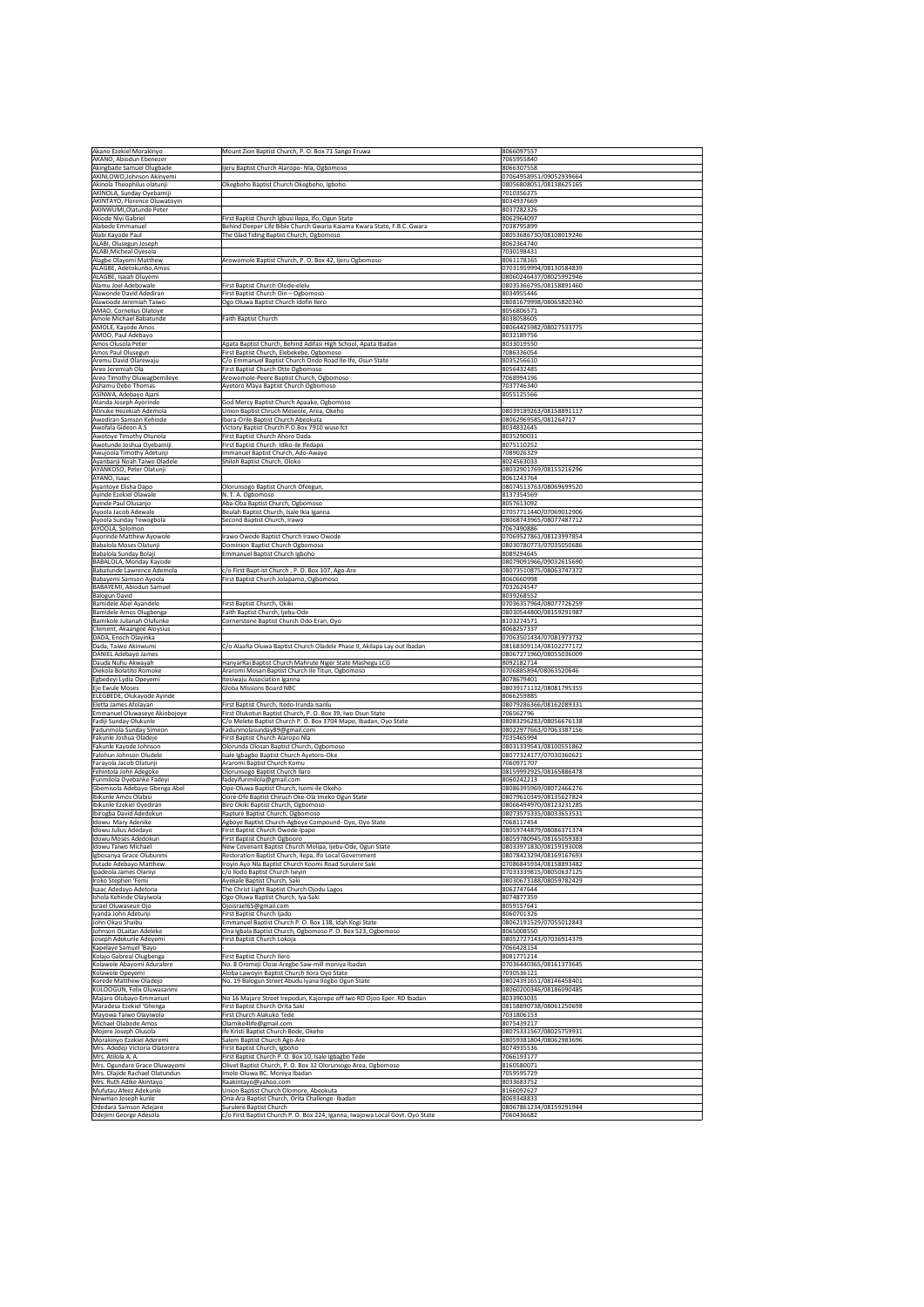|                                                               | Mount Zion Baptist Church, P. O. Box 71 Sango Eruwa                                                                    | 8066097557                                         |
|---------------------------------------------------------------|------------------------------------------------------------------------------------------------------------------------|----------------------------------------------------|
| AKANO, Abiodun Ebenezer                                       |                                                                                                                        | 7065955840                                         |
| Akingbade Samuel Olugbade<br>AKINLOWO, Johnson Akinyemi       | Ijeru Baptist Church Alaropo- Nla, Ogbomoso                                                                            | 8066307558<br>07064958951/09052939664              |
| Akinola Theophilus olatunji                                   | Okegboho Baptist Church Okegboho, Igboho                                                                               | 08056808051/08138625165                            |
| AKINOLA, Sunday Oyebamiji                                     |                                                                                                                        | 7010356275                                         |
| AKINTAYO, Florence Oluwatoyin                                 |                                                                                                                        | 8034937669                                         |
| <b>AKINWUMI, Olatunde Peter</b><br><b>Akiode Niyi Gabriel</b> | First Baptist Church Igbusi Ilepa, Ifo, Ogun State                                                                     | 8037282326<br>8062964097                           |
| Alabede Emmanuel                                              | Behind Deeper Life Bible Church Gwaria Kaiama Kwara State, F.B.C. Gwara                                                | 7038795899                                         |
| Alabi Kayode Paul                                             | The Glad Tiding Baptist Church, Ogbomoso                                                                               | 08053686730/08108019246                            |
| ALABI, Olusegun Joseph<br><b>ALABI, Micheal Oyesola</b>       |                                                                                                                        | 8062364740<br>7030198431                           |
| Alagbe Olayemi Matthew                                        | Arowomole Baptist Church, P. O. Box 42, Ijeru Ogbomoso                                                                 | 8061178165                                         |
| ALAGBE, Adetokunbo, Amos                                      |                                                                                                                        | 07031959994/08130584839                            |
| ALAGBE, Isaiah Oluyemi                                        |                                                                                                                        | 08060246437/08025992946                            |
| Alamu Joel Adebowale<br>Alawonde David Adediran               | First Baptist Church Olode-elelu<br>First Baptist Church Oin - Ogbomoso                                                | 08035366795/08158891460<br>8034955446              |
| Alawoode Jeremiah Taiwo                                       | Ogo Oluwa Baptist Church Idofin Ilero                                                                                  | 08081679998/08065820340                            |
| AMAO, Cornelius Olatoye                                       |                                                                                                                        | 8056806571                                         |
| Amole Michael Babatunde                                       | <b>Faith Baptist Church</b>                                                                                            | 8038058605                                         |
| AMOLE, Kayode Amos<br>AMOO, Paul Adebayo                      |                                                                                                                        | 08064425982/08027533775<br>8032189756              |
| Amos Olusola Peter                                            | Apata Baptist Church, Behind Adifasi High School, Apata Ibadan                                                         | 8033019550                                         |
| <b>Amos Paul Olusegun</b>                                     | First Baptist Church, Elebekebe, Ogbomoso                                                                              | 7086336054                                         |
| Aremu David Olarewaju                                         | C/o Emmanuel Baptist Church Ondo Road Ile-Ife, Osun State                                                              | 8035256610                                         |
| Areo Jeremiah Ola<br><b>Areo Timothy Oluwagbemileye</b>       | First Baptist Church Otte Ogbomoso<br>Arowomole-Peere Baptist Church, Ogbomoso                                         | 8056432485<br>7068994196                           |
| Ashamu Debo Thomas                                            | Ayetoro Maya Baptist Church Ogbomoso                                                                                   | 7037746340                                         |
| ASINWA, Adebayo Ajani                                         |                                                                                                                        | 8055125566                                         |
| Atanda Joseph Ayorinde                                        | God Mercy Baptist Church Apaake, Ogbomoso                                                                              |                                                    |
| Atinuke Hezekiah Ademola                                      | Union Baptist Chruch Meseole, Area, Okeho                                                                              | 08039189263/08158891117                            |
| Awodiran Samson Kehinde<br>Awofala Gideon A.S                 | Ibara-Orile Baptist Church Abeokuta<br>Victory Baptist Church P.O.Box 7910 wuse fct                                    | 08062969585/081264717<br>8034832645                |
| Awotoye Timothy Otunola                                       | First Baptist Church Ahoro Dada                                                                                        | 8035290031                                         |
| Awotunde Joshua Oyebamiji                                     | First Baptist Church Idiko-ile Ifedapo                                                                                 | 8075110252                                         |
| Awujoola Timothy Adetunji<br>Ayanbanji Noah Taiwo Oladele     | Immanuel Baptist Church, Ado-Awaye<br>Shiloh Baptist Church, Oloko                                                     | 7089026329<br>8024563033                           |
| <b>AYANKOSO, Peter Olatunji</b>                               |                                                                                                                        | 08032901769/08155216296                            |
| AYANO, Isaac                                                  |                                                                                                                        | 8061243764                                         |
| Ayantoye Elisha Dapo                                          | Olorunsogo Baptist Church Ofeegun,                                                                                     | 08074513763/08069699520                            |
| Ayinde Ezekiel Olawale                                        | N. T. A. Ogbomoso                                                                                                      | 8137354569<br>8057613092                           |
| Ayinde Paul Olusanjo<br>Ayoola Jacob Adewale                  | Aba-Oba Baptist Church, Ogbomoso<br>Beulah Baptist Church, Isale Ikia Iganna                                           | 07057711440/07069012906                            |
| Ayoola Sunday Tewogbola                                       | Second Baptist Church, Irawo                                                                                           | 08068743965/08077487712                            |
| <b>AYOOLA, Solomon</b>                                        |                                                                                                                        | 7067490886                                         |
| Ayorinde Matthew Ayowole<br>Babalola Moses Olatunji           | Irawo Owode Baptist Church Irawo Owode<br>Dominion Baptist Church Ogbomoso                                             | 07069527861/08123997854<br>08030780773/07035050686 |
| Babalola Sunday Bolaji                                        | <b>Emmanuel Baptist Church Igboho</b>                                                                                  | 8089294645                                         |
| <b>BABALOLA, Monday Kayode</b>                                |                                                                                                                        | 08079091966/09032615690                            |
| Babatunde Lawrence Ademola                                    | c/o First Bapt-ist Church, P.O. Box 107, Ago-Are                                                                       | 08073510875/08063747372                            |
| Babayemi Samson Ayoola<br><b>BABAYEMI, Abiodun Samuel</b>     | First Baptist Church Jolapamo, Ogbomoso                                                                                | 8060660998<br>7032624547                           |
| <b>Balogun David</b>                                          |                                                                                                                        | 8039268552                                         |
| Bamidele Abel Ayandele                                        | First Baptist Church, Okiki                                                                                            | 07036357964/08077726259                            |
| <b>Bamidele Amos Olugbenga</b>                                | Faith Baptist Church, Ijebu-Ode                                                                                        | 08030544800/08159291987                            |
| Bamikole Julianah Olufunke<br>Clement, Akaangee Aloysius      | Cornerstone Baptist Church Odo-Eran, Oyo                                                                               | 8103274571<br>8068257337                           |
| DADA, Enoch Olayinka                                          |                                                                                                                        | 07063501434/07081973732                            |
| Dada, Taiwo Akinwumi                                          | C/o Alaafia Oluwa Baptist Church Oladele Phase II, Akilapa Lay out Ibadan                                              | 08168309114/08102277172                            |
| DANIEL Adebayo James                                          |                                                                                                                        | 08067271960/08055036009                            |
| Dauda Nuhu Akwayah<br>Diekola Bolatito Romoke                 | HanyarRai Baptist Church Mahrute Niger State Mashegu LCG<br>Araromi Mosan Baptist Church Ile Titun, Ogbomoso           | 8092182714<br>0706885894/08063520646               |
| Egbedeyi Lydia Opeyemi                                        | Itesiwaju Association Iganna                                                                                           | 8078679401                                         |
| Eje Ewule Moses                                               | <b>Globa Missions Board NBC</b>                                                                                        | 08039171132/08081795355                            |
|                                                               |                                                                                                                        | 8066259885                                         |
| ELEGBEDE, Olukayode Ayinde                                    | First Baptist Church, Itedo-Irunda Isanlu                                                                              | 08079286366/08162089331                            |
| Eletta James Afolayan                                         |                                                                                                                        |                                                    |
| Emmanuel Oluwaseye Akinbojoye                                 | First Olukotun Baptist Church, P. O. Box 39, Iwo Osun State                                                            | 706562796                                          |
| Fadiji Sunday Olukunle<br>Fadunmola Sunday Simeon             | C/o Melete Baptist Church P. O. Box 3704 Mapo, Ibadan, Oyo State<br>Fadunmolasunday89@gmail.com                        | 08083296283/08056676138<br>08022977663/07063387156 |
| Fakunle Joshua Oladeje                                        | First Baptist Church Alaropo Nla                                                                                       | 7035465994                                         |
| Fakunle Kayode Johnson                                        | Olorunda Olosan Baptist Church, Ogbomoso                                                                               | 08031339541/08100551862                            |
| Falohun Johnson Oludele                                       | Isale Igbagbo Baptist Church Ayetoro-Oke                                                                               | 08077324177/07030360621                            |
| Farayola Jacob Olatunji<br>Fehintola John Adegoke             | Araromi Baptist Church Komu<br>Olorunsogo Baptist Church Ilaro                                                         | 7060971707<br>08159992925/08165886478              |
| Funmilola Oyebanke Fadeyi                                     | fadeyifunmilola@gmail.com                                                                                              | 8060242213                                         |
| Gbemisola Adebayo Gbenga Abel                                 | Ope-Oluwa Baptist Church, Isemi-ile Okeho                                                                              | 08086395969/08072466276                            |
| Ibikunle Amos Olabisi<br>Ibikunle Ezekiel Oyediran            | Oore-Ofe Baptist Chiruch Oke-Ola Imeko Ogun State<br>Biro Okiki Baptist Church, Ogbomoso                               | 08079610349/08135627824<br>08066494970/08123231285 |
| Ibirogba David Adedokun                                       | Rapture Baptist Church, Ogbomoso                                                                                       | 08073575335/08033653531                            |
| Idowu Mary Adenike                                            | Agboye Baptist Church-Agboye Compound-Oyo, Oyo State                                                                   | 7068117454                                         |
| Idowu Julius Adedayo                                          | First Baptist Church Owode-Ipapo                                                                                       | 08059744879/08086371374                            |
| Idowu Moses Adedokun<br><b>Idowu Taiwo Michael</b>            | <b>First Baptist Church Ogbooro</b><br>New Covenant Baptist Church Molipa, Ijebu-Ode, Ogun State                       | 08059780945/08165059383                            |
| Igbosanya Grace Olubunmi                                      | Restoration Baptist Church, Ilepa, Ifo Local Government                                                                | 08033971830/08159193008<br>08078423294/08169167693 |
| <b>Ilutade Adebayo Matthew</b>                                | Iroyin Ayo Nla Baptist Church Koomi Road Surulere Saki                                                                 | 07086845934/08158893482                            |
| Ipadeola James Olaniyi                                        | c/o Ilodo Baptist Church Iseyin                                                                                        | 07033339815/08050637125                            |
| Iroko Stephen 'Femi<br>Isaac Adedayo Adetona                  | Ayekale Baptist Church, Saki<br>The Christ Light Baptist Church Ojodu Lagos                                            | 08030673188/08059782429<br>8062747644              |
| Ishola Kehinde Olayiwola                                      | Ogo Oluwa Baptist Church, Iya-Saki                                                                                     | 8074877359                                         |
| Israel Oluwaseun Ojo                                          | Ojoisrael65@gmail.com                                                                                                  | 8059157641                                         |
| Iyanda John Adetunji                                          | First Baptist Church Ijado                                                                                             | 8060701326                                         |
| John Okasi Shaibu<br>Johnson OLaitan Adeleke                  | Emmanuel Baptist Church P. O. Box 138, Idah Kogi State<br>Ona Igbala Baptist Church, Ogbomoso P. O. Box 523, Ogbomoso  | 08062191529/07055012843<br>8065008550              |
| Joseph Adekunle Adeyemi                                       | First Baptist Church Lokoja                                                                                            | 08052727143/07036914379                            |
| Kapelaye Samuel 'Bayo                                         |                                                                                                                        | 7066428154                                         |
| Kolajo Gabreal Olugbenga                                      | <b>First Baptist Church Ilero</b>                                                                                      | 8081771214                                         |
| Kolawole Abayomi Aduralere                                    | No. 8 Oremeji Close Aregbe Saw-mill moniya Ibadan                                                                      | 07036440365/08161373645<br>7030536121              |
| Kolawole Opeyemi<br>Korede Matthew Oladejo                    | Aloba Lawoyin Baptist Church Ilora Oyo State<br>No. 19 Balogun Street Abudu Iyana Ilogbo Ogun State                    | 08024391651/08146458401                            |
| KULOOGUN, Felix Oluwasanmi                                    |                                                                                                                        | 08060200346/08186090485                            |
| Majaro Olubayo Emmanuel                                       | No 16 Majaro Street Irepodun, Kajorepo off Iwo RD Ojoo Eper. RD Ibadan                                                 | 8033903035                                         |
| Maradesa Ezekiel 'Ghenga                                      | First Baptist Church Orita Saki<br><b>First Church Alakuko Tede</b>                                                    | 08158890738/08061250698<br>7031806153              |
| Mayowa Taiwo Olayiwola<br>Michael Olabode Amos                | Olamike4life@gmail.com                                                                                                 | 8075439217                                         |
| Mojere Joseph Olusola                                         | Ife Kristi Baptist Church Bode, Okeho                                                                                  | 08075331567/08025759931                            |
| Morakinyo Ezekiel Aderemi                                     | Salem Baptist Church Ago-Are                                                                                           | 08059381804/08062983696                            |
| Mrs. Adedeji Victoria Olatorera                               | First Baptist Church, Igboho                                                                                           | 8074935536                                         |
| Mrs. Atilola A. A.<br>Mrs. Ogundare Grace Oluwayomi           | First Baptist Church P. O. Box 10, Isale Igbagbo Tede<br>Olivet Baptist Church, P. O. Box 32 Olorunsogo Area, Ogbomoso | 7066193177<br>8160580071                           |
| Mrs. Olajide Rachael Olatundun                                | Imole-Oluwa BC. Moniya Ibadan                                                                                          | 7059595729                                         |
| Mrs. Ruth Adike Akintayo                                      | Raakintayo@yahoo.com                                                                                                   | 8033683752                                         |
| Mufutau Afeez Adekunle                                        | Union Baptist Church Olomore, Abeokuta                                                                                 | 8166092627                                         |
| Newman Joseph kunle<br>Odedara Samson Adejare                 | Ona-Ara Baptist Church, Orita Challenge-Ibadan<br><b>Surulere Baptist Church</b>                                       | 8069348833<br>08067861234/08159291944              |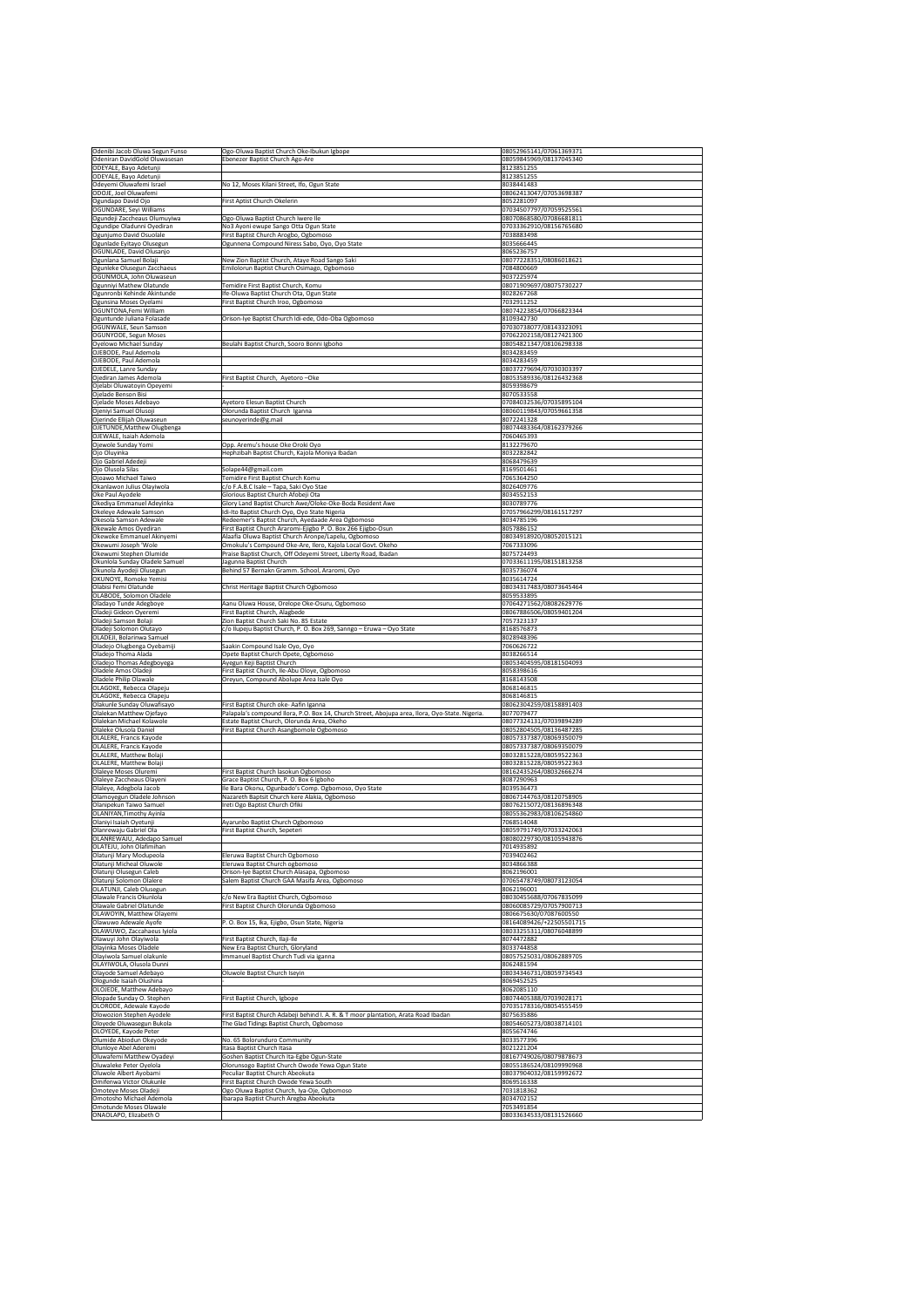| Odenibi Jacob Oluwa Segun Funso                            | Ogo-Oluwa Baptist Church Oke-Ibukun Igbope                                                                      | 08052965141/07061369371                            |
|------------------------------------------------------------|-----------------------------------------------------------------------------------------------------------------|----------------------------------------------------|
| Odeniran DavidGold Oluwasesan                              | Ebenezer Baptist Church Ago-Are                                                                                 | 08059845969/08137045340                            |
| ODEYALE, Bayo Adetunji                                     |                                                                                                                 | 8123851255                                         |
| <b>ODEYALE, Bayo Adetunji</b>                              |                                                                                                                 | 8123851255                                         |
| Odeyemi Oluwafemi Israel                                   | No 12, Moses Kilani Street, Ifo, Ogun State                                                                     | 8038441483                                         |
| ODOJE, Joel Oluwafemi                                      |                                                                                                                 | 08062413047/07053698387                            |
| Ogundapo David Ojo                                         | <b>First Aptist Church Okelerin</b>                                                                             | 8052281097                                         |
| OGUNDARE, Seyi Williams                                    |                                                                                                                 | 07034507797/07059525561                            |
| Ogundeji Zaccheaus Olumuyiwa<br>Ogundipe Oladunni Oyediran | Ogo-Oluwa Baptist Church Iwere Ile<br>No3 Ayoni ewupe Sango Otta Ogun State                                     | 08070868580/07086681811<br>07033362910/08156765680 |
| Ogunjumo David Osuolale                                    | First Baptist Church Arogbo, Ogbomoso                                                                           | 7038883498                                         |
| Ogunlade Eyitayo Olusegun                                  | Ogunnena Compound Niress Sabo, Oyo, Oyo State                                                                   | 8035666445                                         |
| OGUNLADE, David Olusanjo                                   |                                                                                                                 | 8065236757                                         |
| Ogunlana Samuel Bolaji                                     | New Zion Baptist Church, Ataye Road Sango Saki                                                                  | 08077228351/08086018621                            |
| Ogunleke Olusegun Zacchaeus                                | Emilolorun Baptist Church Osimago, Ogbomoso                                                                     | 7084800669                                         |
| OGUNMOLA, John Oluwaseun                                   |                                                                                                                 | 9037225974                                         |
| Ogunniyi Mathew Olatunde                                   | Temidire First Baptist Church, Komu                                                                             | 08071909697/08075730227                            |
| Ogunronbi Kehinde Akintunde                                | Ife-Oluwa Baptist Church Ota, Ogun State                                                                        | 8028267268                                         |
| Ogunsina Moses Oyelami                                     | First Baptist Church Iroo, Ogbomoso                                                                             | 7032911252                                         |
| OGUNTONA,Femi William                                      |                                                                                                                 | 08074223854/07066823344                            |
| Oguntunde Juliana Folasade                                 | Orison-Iye Baptist Church Idi-ede, Odo-Oba Ogbomoso                                                             | 8109342730                                         |
| <b>OGUNWALE, Seun Samson</b>                               |                                                                                                                 | 07030738077/08143323091                            |
| OGUNYODE, Segun Moses                                      |                                                                                                                 | 07062202158/08127421300                            |
| Oyelowo Michael Sunday<br>OJEBODE, Paul Ademola            | Beulahi Baptist Church, Sooro Bonni Igboho                                                                      | 08054821347/08106298338<br>8034283459              |
| OJEBODE, Paul Ademola                                      |                                                                                                                 | 8034283459                                         |
| OJEDELE, Lanre Sunday                                      |                                                                                                                 | 08037279694/07030303397                            |
| Ojediran James Ademola                                     | First Baptist Church, Ayetoro - Oke                                                                             | 08053589336/08126432368                            |
| Ojelabi Oluwatoyin Opeyemi                                 |                                                                                                                 | 8059398679                                         |
| Ojelade Benson Bisi                                        |                                                                                                                 | 8070533558                                         |
| Ojelade Moses Adebayo                                      | Ayetoro Elesun Baptist Church                                                                                   | 07084032536/07035895104                            |
| Ojeniyi Samuel Olusoji                                     | Olorunda Baptist Church Iganna                                                                                  | 08060119843/07059661358                            |
| Ojerinde Ellijah Oluwaseun                                 | seunoyerinde@g.mail                                                                                             | 8072241328                                         |
| OJETUNDE, Matthew Olugbenga                                |                                                                                                                 | 08074483364/08162379266                            |
| OJEWALE, Isaiah Ademola                                    |                                                                                                                 | 7060465393                                         |
| Ojewole Sunday Yomi                                        | Opp. Aremu's house Oke Oroki Oyo                                                                                | 8132279670                                         |
| Ojo Oluyinka                                               | Hephzibah Baptist Church, Kajola Moniya Ibadan                                                                  | 8032282842                                         |
| Ojo Gabriel Adedeji<br>Ojo Olusola Silas                   |                                                                                                                 | 8068479639<br>8169501461                           |
| Ojoawo Michael Taiwo                                       | Solape44@gmail.com<br>Temidire First Baptist Church Komu                                                        | 7065364250                                         |
| Okanlawon Julius Olayiwola                                 | c/o F.A.B.C Isale – Tapa, Saki Oyo Stae                                                                         | 8026409776                                         |
| Oke Paul Ayodele                                           | Glorious Baptist Church Afobeji Ota                                                                             | 8034552153                                         |
| Okediya Emmanuel Adeyinka                                  | Glory Land Baptist Church Awe/Oloke-Oke-Boda Resident Awe                                                       | 8030789776                                         |
| Okeleye Adewale Samson                                     | Idi-Ito Baptist Church Oyo, Oyo State Nigeria                                                                   | 07057966299/08161517297                            |
| Okesola Samson Adewale                                     | Redeemer's Baptist Church, Ayedaade Area Ogbomoso                                                               | 8034785196                                         |
| Okewale Amos Oyediran                                      | First Baptist Church Araromi-Ejigbo P. O. Box 266 Ejigbo-Osun                                                   | 8057886152                                         |
| Okewoke Emmanuel Akinyemi                                  | Alaafia Oluwa Baptist Church Aronpe/Lapelu, Ogbomoso                                                            | 08034918920/08052015121                            |
| Okewumi Joseph 'Wole                                       | Omokulu's Compound Oke-Are, Ilero, Kajola Local Govt. Okeho                                                     | 7067333096                                         |
| Okewumi Stephen Olumide                                    | Praise Baptist Church, Off Odeyemi Street, Liberty Road, Ibadan                                                 | 8075724493                                         |
| Okunlola Sunday Oladele Samuel                             | Jagunna Baptist Church                                                                                          | 07033611195/08151813258                            |
| Okunola Ayodeji Olusegun                                   | Behind 57 Bernakn Gramm. School, Araromi, Oyo                                                                   | 8035736074                                         |
| <b>OKUNOYE, Romoke Yemisi</b>                              |                                                                                                                 | 8035614724                                         |
| Olabisi Femi Olatunde                                      | Christ Heritage Baptist Church Ogbomoso                                                                         | 08034317483/08073645464                            |
| OLABODE, Solomon Oladele                                   |                                                                                                                 | 8059533895                                         |
| Oladayo Tunde Adegboye                                     | Aanu Oluwa House, Orelope Oke-Osuru, Ogbomoso                                                                   | 07064271562/08082629776                            |
| Oladeji Gideon Oyeremi                                     | First Baptist Church, Alagbede                                                                                  | 08067886506/08059401204<br>7057323137              |
| Oladeji Samson Bolaji<br>Oladeji Solomon Olutayo           | Zion Baptist Church Saki No. 85 Estate<br>c/o Ilupeju Baptist Church, P. O. Box 269, Sanngo - Eruwa - Oyo State | 8168576873                                         |
|                                                            |                                                                                                                 |                                                    |
|                                                            |                                                                                                                 |                                                    |
| OLADEJI, Bolarinwa Samuel                                  |                                                                                                                 | 8028948396                                         |
| Oladejo Olugbenga Oyebamiji                                | Saakin Compound Isale Oyo, Oyo                                                                                  | 7060626722<br>8038266514                           |
| Oladejo Thoma Alada<br>Oladejo Thomas Adegboyega           | Opete Baptist Church Opete, Ogbomoso<br>Ayegun Keji Baptist Church                                              | 08053404595/08181504093                            |
| Oladele Amos Oladeji                                       | First Baptist Church, Ile-Abu Oloye, Ogbomoso                                                                   | 8058398616                                         |
| Oladele Philip Olawale                                     | Oreyun, Compound Abolupe Area Isale Oyo                                                                         | 8168143508                                         |
| OLAGOKE, Rebecca Olapeju                                   |                                                                                                                 | 8068146815                                         |
| OLAGOKE, Rebecca Olapeju                                   |                                                                                                                 | 8068146815                                         |
| Olakunle Sunday Oluwafisayo                                | First Baptist Church oke-Aafin Iganna                                                                           | 08062304259/08158891403                            |
| <b>Olalekan Matthew Ojefayo</b>                            | Palapala's compound Ilora, P.O. Box 14, Church Street, Abojupa area, Ilora, Oyo-State. Nigeria.                 | 8077079477                                         |
| Olalekan Michael Kolawole                                  | Estate Baptist Church, Olorunda Area, Okeho                                                                     | 08077324131/07039894289                            |
| Olaleke Olusola Daniel                                     | First Baptist Church Asangbomole Ogbomoso                                                                       | 08052804505/08136487285                            |
| OLALERE, Francis Kayode                                    |                                                                                                                 | 08057337387/08069350079                            |
| OLALERE, Francis Kayode                                    |                                                                                                                 | 08057337387/08069350079                            |
| OLALERE, Matthew Bolaji<br>OLALERE, Matthew Bolaji         |                                                                                                                 | 08032815228/08059522363<br>08032815228/08059522363 |
| Olaleye Moses Oluremi                                      | First Baptist Church lasokun Ogbomoso                                                                           | 08162435264/08032666274                            |
| Olaleye Zaccheaus Olayeni                                  | Grace Baptist Church, P. O. Box 6 Igboho                                                                        | 8087290963                                         |
| Olaleye, Adegbola Jacob                                    | Ile Bara Okonu, Ogunbado's Comp. Ogbomoso, Oyo State                                                            | 8039536473                                         |
| Olamoyegun Oladele Johnson                                 | Nazareth Baptsit Church kere Alakia, Ogbomoso                                                                   | 08067144763/08120758905                            |
| Olanipekun Taiwo Samuel                                    | Ireti Ogo Baptist Church Ofiki                                                                                  | 08076215072/08136896348                            |
| <b>OLANIYAN, Timothy Ayinla</b>                            |                                                                                                                 | 08055362983/08106254860                            |
| Olaniyi Isaiah Oyetunji                                    | Ayarunbo Baptist Church Ogbomoso                                                                                | 7068514048                                         |
| Olanrewaju Gabriel Ola                                     | First Baptist Church, Sepeteri                                                                                  | 08059791749/07033242063                            |
| OLANREWAJU, Adedapo Samuel<br>OLATEJU, John Olafimihan     |                                                                                                                 | 08080229730/08105943876<br>7014935892              |
| Olatunji Mary Modupeola                                    | Eleruwa Baptist Church Ogbomoso                                                                                 | 7039402462                                         |
| Olatunji Micheal Oluwole                                   | Eleruwa Baptist Church ogbomoso                                                                                 | 8034866388                                         |
| Olatunji Olusegun Caleb                                    | Orison-Iye Baptist Church Alasapa, Ogbomoso                                                                     | 8062196001                                         |
| Olatunji Solomon Olalere                                   | Salem Baptist Church GAA Masifa Area, Ogbomoso                                                                  | 07065478749/08073123054                            |
| OLATUNJI, Caleb Olusegun                                   |                                                                                                                 | 8062196001                                         |
| Olawale Francis Okunlola                                   | c/o New Era Baptist Church, Ogbomoso                                                                            | 08030455688/07067835099                            |
| <b>Olawale Gabriel Olatunde</b>                            | First Baptist Church Olorunda Ogbomoso                                                                          | 08060085729/07057900713                            |
| <b>OLAWOYIN, Matthew Olayemi</b>                           |                                                                                                                 | 0806675630/07087600550                             |
| Olawuwo Adewale Ayofe                                      | P.O. Box 15, Ika, Ejigbo, Osun State, Nigeria                                                                   | 08164089426/+22505501715                           |
| OLAWUWO, Zaccahaeus Iyiola                                 |                                                                                                                 | 08033255311/08076048899                            |
| Olawuyi John Olayiwola                                     | First Baptist Church, Ilaji-Ile                                                                                 | 8074472882                                         |
| Olayinka Moses Oladele                                     | New Era Baptist Church, Gloryland                                                                               | 8033744858                                         |
| Olayiwola Samuel olakunle<br>OLAYIWOLA, Olusola Dunni      | Immanuel Baptist Church Tudi via iganna                                                                         | 08057525031/08062889705<br>8062481594              |
| Olayode Samuel Adebayo                                     | Oluwole Baptist Church Iseyin                                                                                   | 08034346731/08059734543                            |
| Ologunde Isaiah Olushina                                   |                                                                                                                 | 8069452525                                         |
| OLOJEDE, Matthew Adebayo                                   |                                                                                                                 | 8062085110                                         |
| Olopade Sunday O. Stephen                                  | First Baptist Church, Igbope                                                                                    | 08074405388/07039028171                            |
| OLORODE, Adewale Kayode                                    |                                                                                                                 | 07035178316/08054555459                            |
| Olowozion Stephen Ayodele                                  | First Baptist Church Adabeji behind I. A. R. & T moor plantation, Arata Road Ibadan                             | 8075635886                                         |
| Oloyede Oluwasegun Bukola                                  | The Glad Tidings Baptist Church, Ogbomoso                                                                       | 08054605273/08038714101                            |
| OLOYEDE, Kayode Peter                                      |                                                                                                                 | 8055674746                                         |
| Olumide Abiodun Okeyode                                    | No. 65 Bolorunduro Community                                                                                    | 8033577396                                         |
| Olunloye Abel Aderemi                                      | Itasa Baptist Church Itasa                                                                                      | 8021221204                                         |
| Oluwafemi Matthew Oyadeyi                                  | Goshen Baptist Church Ita-Egbe Ogun-State                                                                       | 08167749026/08079878673                            |
| Oluwaleke Peter Oyelola                                    | Olorunsogo Baptist Church Owode Yewa Ogun State                                                                 | 08055186524/08109990968                            |
| Oluwole Albert Ayobami<br>Omifenwa Victor Olukunle         | Peculiar Baptist Church Abeokuta                                                                                | 08037904032/08159992672<br>8069516338              |
|                                                            | First Baptist Church Owode Yewa South                                                                           | 7031818362                                         |
| <b>Omoteye Moses Oladeji</b><br>Omotosho Michael Ademola   | Ogo Oluwa Baptist Church, Iya-Oje, Ogbomoso<br>Ibarapa Baptist Church Aregba Abeokuta                           | 8034702152                                         |
| <b>Omotunde Moses Olawale</b>                              |                                                                                                                 | 7053491854                                         |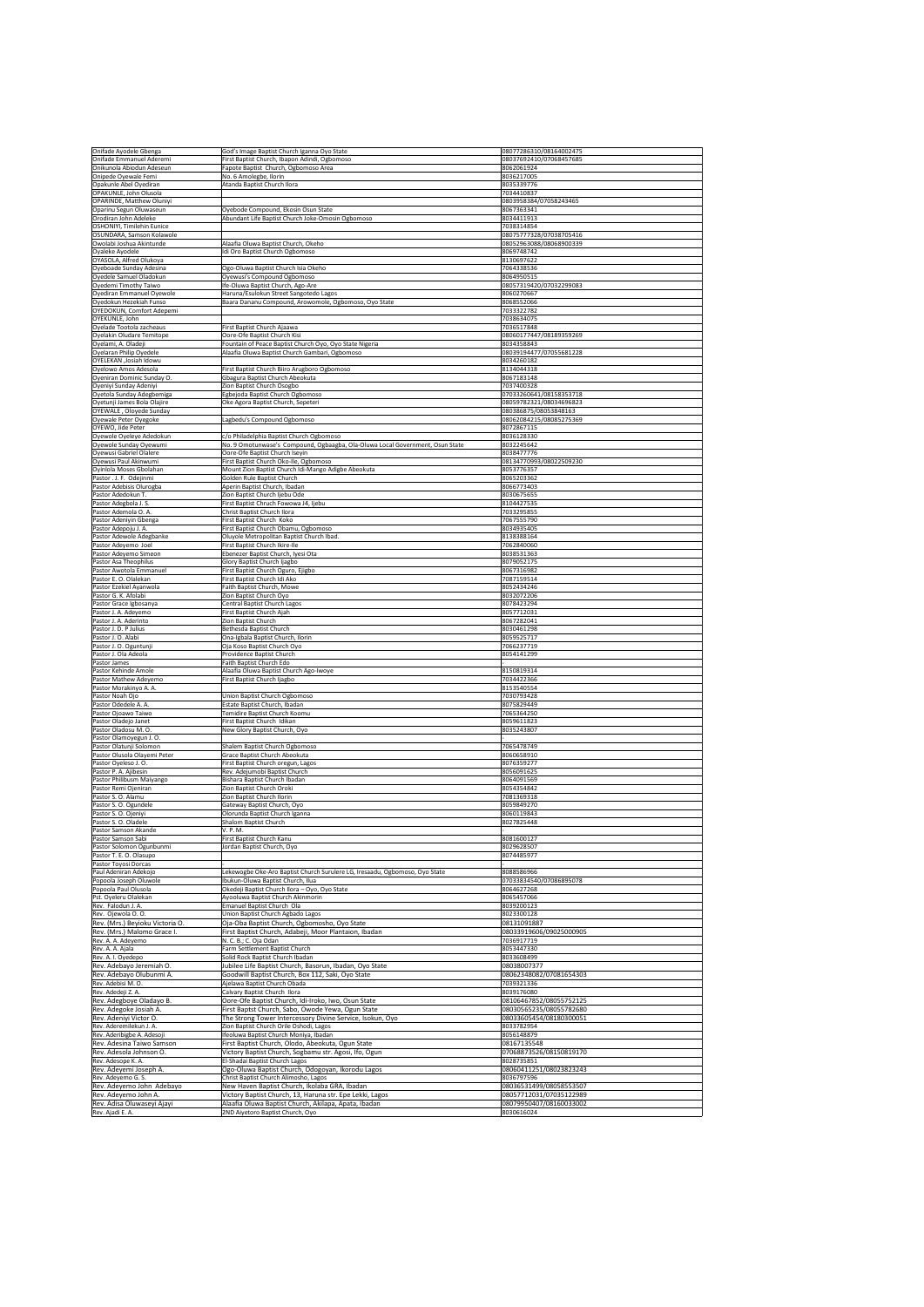|                                                         | God's Image Baptist Church Iganna Oyo State                                                                               | 08077286310/08164002475                            |
|---------------------------------------------------------|---------------------------------------------------------------------------------------------------------------------------|----------------------------------------------------|
| Onifade Emmanuel Aderemi<br>Onikunola Abiodun Adeseun   | First Baptist Church, Ibapon Adindi, Ogbomoso<br>Fapote Baptist Church, Ogbomoso Area                                     | 08037692410/07068457685<br>8062061924              |
| Onipede Oyewale Femi                                    | No. 6 Amolegbe, Ilorin                                                                                                    | 8036217005                                         |
| Opakunle Abel Oyediran<br>OPAKUNLE, John Olusola        | Atanda Baptist Church Ilora                                                                                               | 8035339776<br>7034410837                           |
| <b>OPARINDE, Matthew Oluniyi</b>                        |                                                                                                                           | 0803958384/07058243465                             |
| Oparinu Segun Oluwaseun<br>Orodiran John Adeleke        | Oyebode Compound, Ekosin Osun State<br>Abundant Life Baptist Church Joke-Omosin Ogbomoso                                  | 8067363341<br>8034411913                           |
| <b>OSHONIYI, Timilehin Eunice</b>                       |                                                                                                                           | 7038314854                                         |
| OSUNDARA, Samson Kolawole<br>Owolabi Joshua Akintunde   | Alaafia Oluwa Baptist Church, Okeho                                                                                       | 08075777328/07038705416<br>08052963088/08068900339 |
| Oyaleke Ayodele                                         | Idi Oro Baptist Church Ogbomoso                                                                                           | 8069748742                                         |
| OYASOLA, Alfred Olukoya                                 |                                                                                                                           | 8130697622                                         |
| Oyeboade Sunday Adesina<br>Oyedele Samuel Oladokun      | Ogo-Oluwa Baptist Church Isia Okeho<br>Oyewusi's Compound Ogbomoso                                                        | 7064338536<br>8064950515                           |
| Oyedemi Timothy Taiwo                                   | Ife-Oluwa Baptist Church, Ago-Are                                                                                         | 08057319420/07032299083                            |
| Oyediran Emmanuel Oyewole<br>Oyedokun Hezekiah Funso    | Haruna/Esulokun Street Sangotedo Lagos<br>Baara Dananu Compound, Arowomole, Ogbomoso, Oyo State                           | 8060270667<br>8068552066                           |
| <b>OYEDOKUN, Comfort Adepemi</b>                        |                                                                                                                           | 7033322782                                         |
| OYEKUNLE, John<br>Oyelade Tootola zacheaus              | First Baptist Church Ajaawa                                                                                               | 7038634075<br>7036517848                           |
| Oyelakin Oludare Temitope                               | Oore-Ofe Baptist Church Kisi                                                                                              | 08060177447/08189359269                            |
| Oyelami, A. Oladeji                                     | Fountain of Peace Baptist Church Oyo, Oyo State Nigeria<br>Alaafia Oluwa Baptist Church Gambari, Ogbomoso                 | 8034358843                                         |
| Oyelaran Philip Oyedele<br>OYELEKAN ,Josiah Idowu       |                                                                                                                           | 08039194477/07055681228<br>8034260182              |
| Oyelowo Amos Adesola                                    | First Baptist Church Biiro Arugboro Ogbomoso                                                                              | 8134044318                                         |
| Oyeniran Dominic Sunday O.<br>Oyeniyi Sunday Adeniyi    | Gbagura Baptist Church Abeokuta<br>Zion Baptist Church Osogbo                                                             | 8067183148<br>7037400328                           |
| Oyetola Sunday Adegbemiga                               | Egbejoda Baptist Church Ogbomoso                                                                                          | 07033260641/08158353718                            |
| Oyetunji James Bola Olajire<br> OYEWALE, Oloyede Sunday | Oke Agora Baptist Church, Sepeteri                                                                                        | 08059782321/08034696823<br>080386875/08053848163   |
| Oyewale Peter Oyegoke                                   | Lagbedu's Compound Ogbomoso                                                                                               | 08062084215/08085275369                            |
| OYEWO, Jide Peter                                       |                                                                                                                           | 8072867115                                         |
| Oyewole Oyeleye Adedokun<br>Oyewole Sunday Oyewumi      | c/o Philadelphia Baptist Church Ogbomoso<br>No. 9 Omotunwase's Compound, Ogbaagba, Ola-Oluwa Local Government, Osun State | 8036128330<br>8032245642                           |
| Oyewusi Gabriel Olalere                                 | Oore-Ofe Baptist Church Iseyin                                                                                            | 8038477776                                         |
| Oyewusi Paul Akinwumi<br>Oyinlola Moses Gbolahan        | First Baptist Church Oko-Ile, Ogbomoso<br>Mount Zion Baptist Church Idi-Mango Adigbe Abeokuta                             | 08134770993/08022509230<br>8053776357              |
| Pastor . J. F. Odejinmi                                 | Golden Rule Baptist Church                                                                                                | 8065203362                                         |
| Pastor Adebisis Olurogba                                | Aperin Baptist Church, Ibadan                                                                                             | 8066773403                                         |
| Pastor Adedokun T.<br>Pastor Adegbola J. S.             | Zion Baptist Church ljebu Ode<br>First Baptist Chruch Fowowa J4, Ijebu                                                    | 8030675655<br>8104427535                           |
| Pastor Ademola O.A.                                     | <b>Christ Baptist Church Ilora</b>                                                                                        | 7033295855                                         |
| Pastor Adeniyin Gbenga<br>Pastor Adepoju J. A.          | First Baptist Church Koko<br>First Baptist Church Obamu, Ogbomoso                                                         | 7067555790<br>8034935405                           |
| Pastor Adewole Adegbanke                                | Oluyole Metropolitan Baptist Church Ibad.                                                                                 | 8138388164                                         |
| Pastor Adeyemo Joel<br>Pastor Adeyemo Simeon            | First Baptist Church Ikire-Ile<br>Ebenezer Baptist Church, Iyesi Ota                                                      | 7062840060<br>8038531363                           |
| Pastor Asa Theophilus                                   | <b>Glory Baptist Church Ijagbo</b>                                                                                        | 8079052175                                         |
| Pastor Awotola Emmanuel                                 | First Baptist Church Oguro, Ejigbo                                                                                        | 8067316982                                         |
| Pastor E. O. Olalekan<br>Pastor Ezekiel Ayanwola        | First Baptist Church Idi Ako<br>Faith Baptist Church, Mowe                                                                | 7087159514<br>8052434246                           |
| Pastor G. K. Afolabi                                    | Zion Baptist Church Oyo                                                                                                   | 8032072206                                         |
| Pastor Grace Igbosanya<br>Pastor J. A. Adeyemo          | <b>Central Baptist Church Lagos</b><br>First Baptist Church Ajah                                                          | 8078423294<br>8057712031                           |
| Pastor J. A. Aderinto                                   | Zion Baptist Church                                                                                                       | 8067282041                                         |
| Pastor J. D. P Julius                                   | Bethesda Baptist Church                                                                                                   | 8030461298                                         |
| Pastor J. O. Alabi<br>Pastor J. O. Oguntunji            | Ona-Igbala Baptist Church, Ilorin<br>Oja Koso Baptist Church Oyo                                                          | 8059525717<br>7066237719                           |
| Pastor J. Ola Adeola                                    | Providence Baptist Church                                                                                                 | 8054141299                                         |
| Pastor James<br>Pastor Kehinde Amole                    | Faith Baptist Church Edo<br>Alaafia Oluwa Baptist Church Ago-Iwoye                                                        | 8150819314                                         |
| Pastor Mathew Adeyemo                                   | First Baptist Church Ijagbo                                                                                               | 7034422366                                         |
| Pastor Morakinyo A. A.<br>Pastor Noah Ojo               | Union Baptist Church Ogbomoso                                                                                             | 8153540554<br>7030793428                           |
|                                                         | Estate Baptist Church, Ibadan                                                                                             | 8075829449                                         |
| Pastor Odedele A. A.                                    |                                                                                                                           |                                                    |
| Pastor Ojoawo Taiwo                                     | Temidire Baptist Church Koomu                                                                                             | 7065364250                                         |
| Pastor Oladejo Janet<br>Pastor Oladosu M. O.            | First Baptist Church Idikan<br>New Glory Baptist Church, Oyo                                                              | 8059611823<br>8035243807                           |
| Pastor Olamoyegun J. O.                                 |                                                                                                                           |                                                    |
| Pastor Olatunji Solomon<br>Pastor Olusola Olayemi Peter | <b>Shalem Baptist Church Ogbomoso</b><br><b>Grace Baptist Church Abeokuta</b>                                             | 7065478749<br>8060658910                           |
| Pastor Oyeleso J. O.                                    | First Baptist Church oregun, Lagos                                                                                        | 8076359277                                         |
| Pastor P. A. Ajibesin                                   | Rev. Adejumobi Baptist Church                                                                                             | 8056091625                                         |
| Pastor Philibusm Maiyango<br>Pastor Remi Ojeniran       | Bishara Baptist Church Ibadan<br>Zion Baptist Church Oroki                                                                | 8064091569<br>8054354842                           |
| Pastor S. O. Alamu                                      | Zion Baptist Church Ilorin                                                                                                | 7081369318                                         |
| Pastor S. O. Ogundele<br>Pastor S. O. Ojeniyi           | Gateway Baptist Church, Oyo<br>Olorunda Baptist Church Iganna                                                             | 8059849270<br>8060119843                           |
| Pastor S. O. Oladele                                    | <b>Shalom Baptist Church</b>                                                                                              | 8027825448                                         |
| Pastor Samson Akande<br>Pastor Samson Sabi              | V. P. M.<br>First Baptist Church Kanu                                                                                     | 8081600127                                         |
| Pastor Solomon Ogunbunmi                                | Jordan Baptist Church, Oyo                                                                                                | 8029628507                                         |
| Pastor T. E. O. Olasupo<br>Pastor Toyosi Dorcas         |                                                                                                                           | 8074485977                                         |
| Paul Adeniran Adekojo                                   | Lekewogbe Oke-Aro Baptist Church Surulere LG, Iresaadu, Ogbomoso, Oyo State                                               | 8088586966                                         |
| Popoola Joseph Oluwole                                  | Ibukun-Oluwa Baptist Church, Ilua                                                                                         | 07033834540/07086895078                            |
| Popoola Paul Olusola<br>Pst. Oyeleru Olalekan           | Okedeji Baptist Church Ilora - Oyo, Oyo State<br>Ayooluwa Baptist Church Akinmorin                                        | 8064627268<br>8065457066                           |
| Rev. Falodun J.A.                                       | Emanuel Baptist Church Ola                                                                                                | 8039200123                                         |
| Rev. Ojewola O.O.<br>Rev. (Mrs.) Beyioku Victoria O.    | Union Baptist Church Agbado Lagos<br>Oja-Oba Baptist Church, Ogbomosho, Oyo State                                         | 8023300128<br>08131091887                          |
| Rev. (Mrs.) Malomo Grace I.                             | First Baptist Church, Adabeji, Moor Plantaion, Ibadan                                                                     | 08033919606/09025000905                            |
| Rev. A. A. Adeyemo                                      | N. C. B.; C. Oja Odan                                                                                                     | 7036917719                                         |
| Rev. A. A. Ajala<br>Rev. A. I. Oyedepo                  | Farm Settlement Baptist Church<br>Solid Rock Baptist Church Ibadan                                                        | 8053447330<br>8033608499                           |
| Rev. Adebayo Jeremiah O.                                | Jubilee Life Baptist Church, Basorun, Ibadan, Oyo State                                                                   | 08038007377                                        |
| Rev. Adebayo Olubunmi A.<br>Rev. Adebisi M. O.          | Goodwill Baptist Church, Box 112, Saki, Oyo State                                                                         | 08062348082/07081654303<br>7039321336              |
| Rev. Adedeji Z. A.                                      | Ajelawa Baptist Church Obada<br>Calvary Baptist Church Ilora                                                              | 8039176080                                         |
| Rev. Adegboye Oladayo B.                                | Oore-Ofe Baptist Church, Idi-Iroko, Iwo, Osun State                                                                       | 08106467852/08055752125                            |
| Rev. Adegoke Josiah A.<br>Rev. Adeniyi Victor O.        | First Baptst Church, Sabo, Owode Yewa, Ogun State<br>The Strong Tower Intercessory Divine Service, Isokun, Oyo            | 08030565235/08055782680<br>08033605454/08180300051 |
| Rev. Aderemilekun J. A.                                 | Zion Baptist Church Orile Oshodi, Lagos                                                                                   | 8033782954                                         |
| Rev. Aderibigbe A. Adesoji<br>Rev. Adesina Taiwo Samson | Ifeoluwa Baptist Church Moniya, Ibadan                                                                                    | 8056148879<br>08167135548                          |
| Rev. Adesola Johnson O.                                 | First Baptist Church, Olodo, Abeokuta, Ogun State<br>Victory Baptist Church, Sogbamu str. Agosi, Ifo, Ogun                | 07068873526/08150819170                            |
| Rev. Adesope K. A.                                      | El-Shadai Baptist Church Lagos                                                                                            | 8028735851                                         |
| Rev. Adeyemi Joseph A.<br>Rev. Adeyemo G. S.            | Ogo-Oluwa Baptist Church, Odogoyan, Ikorodu Lagos<br>Christ Baptist Church Alimosho, Lagos                                | 08060411251/08023823243<br>8036797596              |
| Rev. Adeyemo John Adebayo                               | New Haven Baptist Church, Ikolaba GRA, Ibadan                                                                             | 08036531499/08058553507                            |
| Rev. Adeyemo John A.<br>Rev. Adisa Oluwaseyi Ajayi      | Victory Baptist Church, 13, Haruna str. Epe Lekki, Lagos<br>Alaafia Oluwa Baptist Church, Akilapa, Apata, Ibadan          | 08057712031/07035122989<br>08079950407/08160033002 |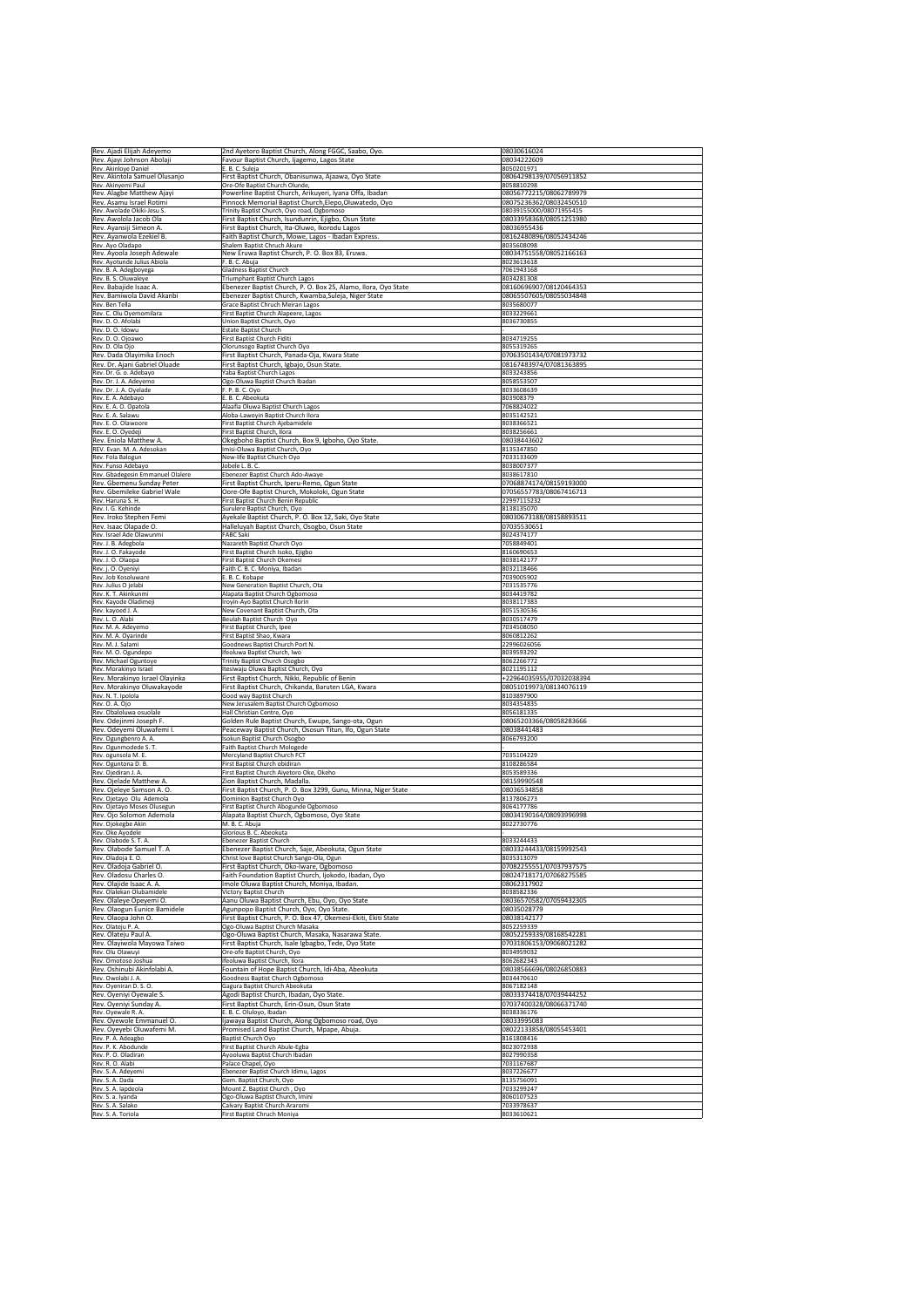| Rev. Ajadi Elijah Adeyemo                                    | 2nd Ayetoro Baptist Church, Along FGGC, Saabo, Oyo.                                                               | 08030616024                                         |
|--------------------------------------------------------------|-------------------------------------------------------------------------------------------------------------------|-----------------------------------------------------|
| Rev. Ajayi Johnson Abolaji<br>Rev. Akinloye Daniel           | Favour Baptist Church, Ijagemo, Lagos State<br>E. B. C. Suleja                                                    | 08034222609<br>8050201971                           |
| Rev. Akintola Samuel Olusanjo                                | First Baptist Church, Obanisunwa, Ajaawa, Oyo State                                                               | 08064298139/07056911852                             |
| Rev. Akinyemi Paul                                           | Ore-Ofe Baptist Church Olunde,                                                                                    | 8058810298<br>08056772215/08062789979               |
| Rev. Alagbe Matthew Ajayi<br>Rev. Asamu Israel Rotimi        | Powerline Baptist Church, Arikuyeri, Iyana Offa, Ibadan<br>Pinnock Memorial Baptist Church, Elepo, Oluwatedo, Oyo | 08075236362/08032450510                             |
| Rev. Awolade Okiki-Jesu S.                                   | Trinity Baptist Church, Oyo road, Ogbomoso                                                                        | 08039155000/08071955415                             |
| Rev. Awolola Jacob Ola                                       | First Baptist Church, Isundunrin, Ejigbo, Osun State                                                              | 08033958368/08051251980                             |
| Rev. Ayansiji Simeon A.<br>Rev. Ayanwola Ezekiel B.          | First Baptist Church, Ita-Oluwo, Ikorodu Lagos<br>Faith Baptist Church, Mowe, Lagos - Ibadan Express.             | 08036955436<br>08162480896/08052434246              |
| Rev. Ayo Oladapo                                             | Shalem Baptist Chruch Akure                                                                                       | 8035608098                                          |
| Rev. Ayoola Joseph Adewale                                   | New Eruwa Baptist Church, P. O. Box 83, Eruwa.                                                                    | 08034751558/08052166163                             |
| Rev. Ayotunde Julius Abiola<br>Rev. B. A. Adegboyega         | F. B. C. Abuja<br>Gladness Baptist Church                                                                         | 8023613618<br>7061943168                            |
| Rev. B. S. Oluwaleye                                         | <b>Triumphant Baptist Church Lagos</b>                                                                            | 8034281308                                          |
| Rev. Babajide Isaac A.                                       | Ebenezer Baptist Church, P. O. Box 25, Alamo, Ilora, Oyo State                                                    | 08160696907/08120464353                             |
| Rev. Bamiwola David Akanbi<br>Rev. Ben Tella                 | Ebenezer Baptist Church, Kwamba, Suleja, Niger State<br>Grace Baptist Chruch Meiran Lagos                         | 08065507605/08055034848<br>8035680077               |
| Rev. C. Olu Oyemomilara                                      | <b>First Baptist Church Alapeere, Lagos</b>                                                                       | 8033229661                                          |
| Rev. D. O. Afolabi                                           | Union Baptist Church, Oyo                                                                                         | 8036730855                                          |
| Rev. D. O. Idowu<br>Rev. D. O. Ojoawo                        | <b>Estate Baptist Church</b><br><b>First Baptist Church Fiditi</b>                                                | 8034719255                                          |
| Rev. D. Ola Ojo                                              | Olorunsogo Baptist Church Oyo                                                                                     | 8055319265                                          |
| Rev. Dada Olayimika Enoch                                    | First Baptist Church, Panada-Oja, Kwara State                                                                     | 07063501434/07081973732                             |
| Rev. Dr. Ajani Gabriel Oluade<br>Rev. Dr. G. o. Adebayo      | First Baptist Church, Igbajo, Osun State.<br>Yaba Baptist Church Lagos                                            | 08167483974/07081363895<br>8033243856               |
| Rev. Dr. J. A. Adeyemo                                       | Ogo-Oluwa Baptist Church Ibadan                                                                                   | 8058553507                                          |
| Rev. Dr. J. A. Oyelade                                       | $\sf{F.~P.~B.~C.~Oyo}$                                                                                            | 8033608639                                          |
| Rev. E. A. Adebayo<br>Rev. E. A. O. Opatola                  | E. B. C. Abeokuta<br>Alaafia Oluwa Baptist Church Lagos                                                           | 803908379<br>7068824022                             |
| Rev. E. A. Salawu                                            | Aloba-Lawoyin Baptist Church Ilora                                                                                | 8035142521                                          |
| Rev. E. O. Olawoore                                          | <b>First Baptist Church Ajebamidele</b>                                                                           | 8038366521                                          |
| Rev. E. O. Oyedeji<br>Rev. Eniola Matthew A.                 | <b>First Baptist Church, Ilora</b><br>Okegboho Baptist Church, Box 9, Igboho, Oyo State.                          | 8038256661<br>08038443602                           |
| REV. Evan. M. A. Adesokan                                    | Imisi-Oluwa Baptist Church, Oyo                                                                                   | 8135347850                                          |
| Rev. Fola Balogun                                            | New-life Baptist Church Oyo                                                                                       | 7033133609                                          |
| Rev. Funso Adebayo<br>Rev. Gbadegesin Emmanuel Olalere       | Jobele L. B. C.<br>Ebenezer Baptist Church Ado-Awaye                                                              | 8038007377<br>8038617810                            |
| Rev. Gbemenu Sunday Peter                                    | First Baptist Church, Iperu-Remo, Ogun State                                                                      | 07068874174/08159193000                             |
| Rev. Gbemileke Gabriel Wale                                  | Oore-Ofe Baptist Church, Mokoloki, Ogun State                                                                     | 07056557783/08067416713                             |
| Rev. Haruna S. H.<br>Rev. I. G. Kehinde                      | <b>First Baptist Church Benin Republic</b>                                                                        | 22997115232<br>8138135070                           |
| Rev. Iroko Stephen Femi                                      | Surulere Baptist Church, Oyo<br>Ayekale Baptist Church, P. O. Box 12, Saki, Oyo State                             | 08030673188/08158893511                             |
| Rev. Isaac Olapade O.                                        | Halleluyah Baptist Church, Osogbo, Osun State                                                                     | 07035530651                                         |
| Rev. Israel Ade Olawunmi                                     | <b>FABC Saki</b>                                                                                                  | 8024374177                                          |
| Rev. J. B. Adegbola<br>Rev. J. O. Fakayode                   | Nazareth Baptist Church Oyo<br>First Baptist Church Isoko, Ejigbo                                                 | 7058849401<br>8160690653                            |
| Rev. J. O. Olaopa                                            | <b>First Baptist Church Okemesi</b>                                                                               | 8038142177                                          |
| Rev. j. O. Oyeniyi<br>Rev. Job Kosoluware                    | Faith C. B. C. Moniya, Ibadan                                                                                     | 8032118466<br>7039005902                            |
| Rev. Julius O jelabi                                         | E. B. C. Kobape<br>New Generation Baptist Church, Ota                                                             | 7031535776                                          |
| Rev. K. T. Akinkunmi                                         | Alapata Baptist Church Ogbomoso                                                                                   | 8034419782                                          |
| Rev. Kayode Oladimeji<br>Rev. kayoed J. A.                   | Iroyin-Ayo Baptist Church Ilorin<br>New Covenant Baptist Church, Ota                                              | 8038117383<br>8051530536                            |
| Rev. L. O. Alabi                                             | Beulah Baptist Church Oyo                                                                                         | 8030517479                                          |
| Rev. M. A. Adeyemo                                           | First Baptist Church, Ipee                                                                                        | 7034508050                                          |
|                                                              |                                                                                                                   | 8060812262                                          |
| Rev. M. A. Oyarinde                                          | First Baptist Shao, Kwara                                                                                         |                                                     |
| Rev. M. J. Salami<br>Rev. M. O. Ogundepo                     | Goodnews Baptist Church Port N.<br>Ifeoluwa Baptist Church, Iwo                                                   | 22996026056<br>8039593292                           |
| Rev. Michael Oguntoye                                        | <b>Trinity Baptist Church Osogbo</b>                                                                              | 8062266772                                          |
| Rev. Morakinyo Israel                                        | Itesiwaju Oluwa Baptist Church, Oyo                                                                               | 8021195112                                          |
| Rev. Morakinyo Israel Olayinka<br>Rev. Morakinyo Oluwakayode | First Baptist Church, Nikki, Republic of Benin<br>First Baptist Church, Chikanda, Baruten LGA, Kwara              | +22964035955/07032038394<br>08051019973/08134076119 |
| Rev. N. T. Ipolola                                           | Good way Baptist Church                                                                                           | 8103897900                                          |
| Rev. O. A. Ojo<br>Rev. Obaloluwa osuolale                    | New Jerusalem Baptist Church Ogbomoso<br>Hall Christian Centre, Oyo                                               | 8034354835<br>8056181335                            |
| Rev. Odejinmi Joseph F.                                      | Golden Rule Baptist Church, Ewupe, Sango-ota, Ogun                                                                | 08065203366/08058283666                             |
| Rev. Odeyemi Oluwafemi I.                                    | Peaceway Baptist Church, Ososun Titun, Ifo, Ogun State                                                            | 08038441483                                         |
| Rev. Ogungbenro A. A.                                        | <b>Isokun Baptist Church Osogbo</b>                                                                               | 8066793200                                          |
| Rev. Ogunmodede S.T.<br>Rev. ogunsola M. E.                  | <b>Faith Baptist Church Mologede</b><br>Mercyland Baptist Church FCT                                              | 7035104229                                          |
| Rev. Oguntona D. B.                                          | First Baptist Church obidiran                                                                                     | 8108286584                                          |
| Rev. Ojediran J. A.                                          | First Baptist Church Aiyetoro Oke, Okeho                                                                          | 8053589336<br>08159990548                           |
| Rev. Ojelade Matthew A.<br>Rev. Ojeleye Samson A. O.         | Zion Baptist Church, Madalla.<br>First Baptist Church, P. O. Box 3299, Gunu, Minna, Niger State                   | 08036534858                                         |
| Rev. Ojetayo Olu Ademola                                     | Dominion Baptist Church Oyo                                                                                       | 8137806273                                          |
| Rev. Ojetayo Moses Olusegun<br>Rev. Ojo Solomon Ademola      | First Baptist Church Abogunde Ogbomoso<br>Alapata Baptist Church, Ogbomoso, Oyo State                             | 8064177786<br>08034190164/08093996998               |
| Rev. Ojokegbe Akin                                           | M. B. C. Abuja                                                                                                    | 8022730776                                          |
| Rev. Oke Ayodele                                             | Glorious B. C. Abeokuta                                                                                           |                                                     |
| Rev. Olabode S. T. A.<br>Rev. Olabode Samuel T. A            | Ebenezer Baptist Church                                                                                           | 8033244433                                          |
| Rev. Oladoja E. O.                                           | Ebenezer Baptist Church, Saje, Abeokuta, Ogun State<br>Christ love Baptist Church Sango-Ola, Ogun                 | 08033244433/08159992543<br>8035313079               |
| Rev. Oladoja Gabriel O.                                      | First Baptist Church, Oko-Iware, Ogbomoso                                                                         | 07082255551/07037937575                             |
| Rev. Oladosu Charles O.<br>Rev. Olajide Isaac A. A.          | Faith Foundation Baptist Church, Ijokodo, Ibadan, Oyo<br>Imole Oluwa Baptist Church, Moniya, Ibadan.              | 08024718171/07068275585<br>08062317902              |
| Rev. Olalekan Olubamidele                                    | Victory Baptist Church                                                                                            | 8038582336                                          |
| Rev. Olaleye Opeyemi O.                                      | Aanu Oluwa Baptist Church, Ebu, Oyo, Oyo State                                                                    | 08036570582/07059432305                             |
| Rev. Olaogun Eunice Bamidele<br>Rev. Olaopa John O.          | Agunpopo Baptist Church, Oyo, Oyo State.<br>First Baptist Church, P. O. Box 47, Okemesi-Ekiti, Ekiti State        | 08035028779<br>08038142177                          |
| Rev. Olateju P. A.                                           | Ogo-Oluwa Baptist Church Masaka                                                                                   | 8052259339                                          |
| Rev. Olateju Paul A.                                         | Ogo-Oluwa Baptist Church, Masaka, Nasarawa State.                                                                 | 08052259339/08168542281                             |
| Rev. Olayiwola Mayowa Taiwo<br>Rev. Olu Olawuyi              | First Baptist Church, Isale Igbagbo, Tede, Oyo State<br>Ore-ofe Baptist Church, Oyo                               | 07031806153/09068021282<br>8034959032               |
| Rev. Omotoso Joshua                                          | Ifeoluwa Baptist Church, Ilora                                                                                    | 8062682343                                          |
| Rev. Oshinubi Akinfolabi A.                                  | Fountain of Hope Baptist Church, Idi-Aba, Abeokuta                                                                | 08038566696/08026850883                             |
| Rev. Owolabi J. A.<br>Rev. Oyeniran D. S. O.                 | Goodness Baptist Church Ogbomoso<br>Gagura Baptist Church Abeokuta                                                | 8034470610<br>8067182148                            |
| Rev. Oyeniyi Oyewale S.                                      | Agodi Baptist Church, Ibadan, Oyo State.                                                                          | 08033374418/07039444252                             |
| Rev. Oyeniyi Sunday A.                                       | First Baptist Church, Erin-Osun, Osun State                                                                       | 07037400328/08066371740                             |
| Rev. Oyewale R. A.<br>Rev. Oyewole Emmanuel O.               | E. B. C. Oluloyo, Ibadan<br>Ijawaya Baptist Church, Along Ogbomoso road, Oyo                                      | 8038336176<br>08033995083                           |
| Rev. Oyeyebi Oluwafemi M.                                    | Promised Land Baptist Church, Mpape, Abuja.                                                                       | 08022133858/08055453401                             |
| Rev. P. A. Adeagbo                                           | <b>Baptist Church Oyo</b>                                                                                         | 8161808416                                          |
| Rev. P. K. Abodunde<br>Rev. P. O. Oladiran                   | <b>First Baptist Church Abule-Egba</b><br>Ayooluwa Baptist Church Ibadan                                          | 8023072938<br>8027990358                            |
| Rev. R. O. Alabi                                             | Palace Chapel, Oyo                                                                                                | 7031167687                                          |
| Rev. S. A. Adeyemi                                           | Ebenezer Baptist Church Idimu, Lagos                                                                              | 8037226677                                          |
| Rev. S. A. Dada<br>Rev. S. A. lapdeola                       | Gem. Baptist Church, Oyo<br>Mount Z. Baptist Church, Oyo                                                          | 8135756091<br>7033299247                            |
| Rev. S. a. Iyanda<br>Rev. S. A. Salako                       | Ogo-Oluwa Baptist Church, Imini<br>Calvary Baptist Church Araromi                                                 | 8060107523<br>7033978637                            |